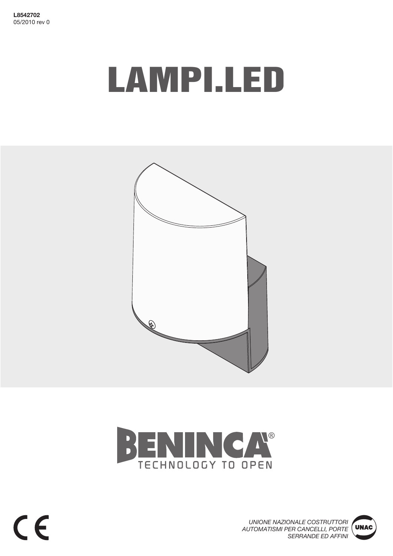L8542702 05/2010 rev 0

# **LAMPI.LED**





UNIONE NAZIONALE COSTRUTTORI AUTOMATISMI PER CANCELLI, PORTE **SERRANDE ED AFFINI** 

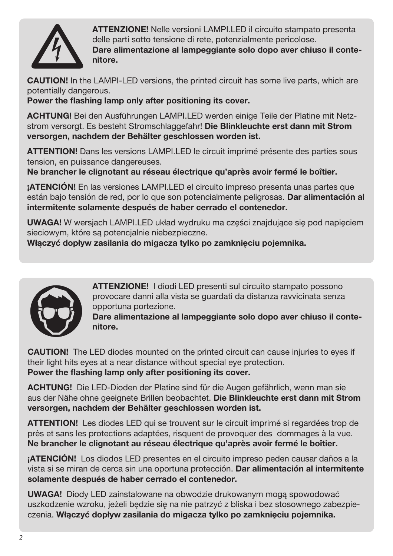

**ATTENZIONE!** Nelle versioni LAMPI.LED il circuito stampato presenta delle parti sotto tensione di rete, potenzialmente pericolose. Dare alimentazione al lampeggiante solo dopo aver chiuso il contenitore.

**CAUTION!** In the LAMPI-LED versions, the printed circuit has some live parts, which are potentially dangerous.

Power the flashing lamp only after positioning its cover.

ACHTUNG! Bei den Ausführungen LAMPI.LED werden einige Teile der Platine mit Netzstrom versorgt. Es besteht Stromschlaggefahr! Die Blinkleuchte erst dann mit Strom versorgen, nachdem der Behälter geschlossen worden ist.

ATTENTION! Dans les versions LAMPI.LED le circuit imprimé présente des parties sous tension, en puissance dangereuses.

Ne brancher le clignotant au réseau électrique qu'après avoir fermé le boîtier.

**¡ATENCIÓN!** En las versiones LAMPI.LED el circuito impreso presenta unas partes que están bajo tensión de red, por lo que son potencialmente peligrosas. Dar alimentación al intermitente solamente después de haber cerrado el contenedor.

**UWAGA!** W wersjach LAMPI.LED układ wydruku ma części znajdujące się pod napięciem sieciowym, które sa potencialnie niebezpieczne.

Właczyć dopływ zasilania do migacza tylko po zamknieciu pojemnika.



**ATTENZIONE!** I diodi LED presenti sul circuito stampato possono provocare danni alla vista se quardati da distanza ravvicinata senza opportuna portezione.

Dare alimentazione al lampeggiante solo dopo aver chiuso il contenitore.

**CAUTION!** The LED diodes mounted on the printed circuit can cause injuries to eyes if their light hits eyes at a near distance without special eye protection. Power the flashing lamp only after positioning its cover.

**ACHTUNG!** Die LED-Dioden der Platine sind für die Augen gefährlich, wenn man sie aus der Nähe ohne geeignete Brillen beobachtet. Die Blinkleuchte erst dann mit Strom versorgen, nachdem der Behälter geschlossen worden ist.

**ATTENTION!** Les diodes LED qui se trouvent sur le circuit imprimé si regardées trop de près et sans les protections adaptées, risquent de provoquer des dommages à la vue. Ne brancher le clignotant au réseau électrique qu'après avoir fermé le boîtier.

**¡ATENCIÓN!** Los diodos LED presentes en el circuito impreso peden causar daños a la vista si se miran de cerca sin una oportuna protección. Dar alimentación al intermitente solamente después de haber cerrado el contenedor.

**UWAGA!** Diody LED zainstalowane na obwodzie drukowanym mogą spowodować uszkodzenie wzroku, jeżeli bedzie się na nie patrzyć z bliska i bez stosownego zabezpieczenia. Włączyć dopływ zasilania do migacza tylko po zamknięciu pojemnika.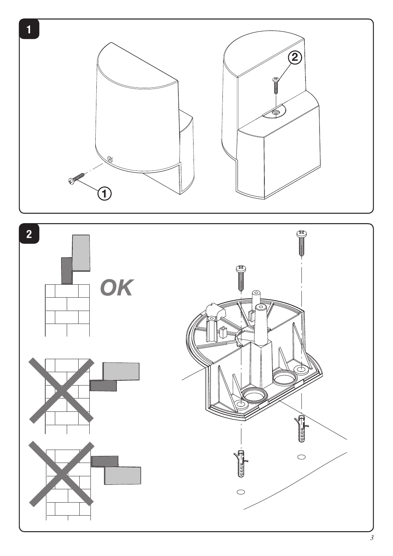

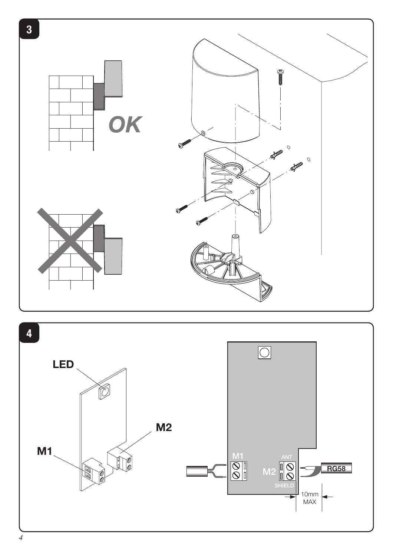

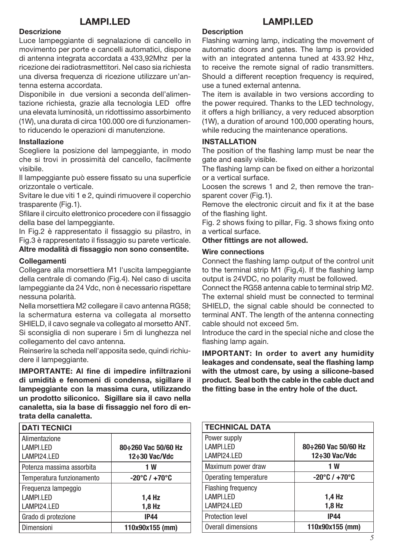# **LAMPI.LED**

#### **Descrizione**

Luce lampeggiante di segnalazione di cancello in movimento per porte e cancelli automatici, dispone di antenna integrata accordata a 433.92Mhz per la ricezione dei radiotrasmettitori. Nel caso sia richiesta una diversa frequenza di ricezione utilizzare un'antenna esterna accordata.

Disponibile in due versioni a seconda dell'alimentazione richiesta, grazie alla tecnologia LED offre una elevata luminosità, un ridottissimo assorbimento (1W), una durata di circa 100.000 ore di funzionamento riducendo le operazioni di manutenzione.

#### **Installazione**

Scegliere la posizione del lampeggiante, in modo che si trovi in prossimità del cancello, facilmente visibile.

Il lampeggiante può essere fissato su una superficie orizzontale o verticale.

Svitare le due viti 1 e 2, quindi rimuovere il coperchio trasparente (Fig.1).

Sfilare il circuito elettronico procedere con il fissaggio della base del lampeggiante.

In Fig.2 è rappresentato il fissaggio su pilastro, in Fig.3 è rappresentato il fissaggio su parete verticale.

Altre modalità di fissaggio non sono consentite.

#### **Collegamenti**

Collegare alla morsettiera M1 l'uscita lampeggiante della centrale di comando (Fig.4). Nel caso di uscita lampeggiante da 24 Vdc, non è necessario rispettare nessuna polarità.

Nella morsettiera M2 collegare il cavo antenna RG58; la schermatura esterna va collegata al morsetto SHIELD, il cavo segnale va collegato al morsetto ANT. Si sconsiglia di non superare i 5m di lunghezza nel collegamento del cavo antenna.

Reinserire la scheda nell'apposita sede, quindi richiudere il lampeggiante.

**IMPORTANTE: Al fine di impedire infiltrazioni** di umidità e fenomeni di condensa, sigillare il lampeggiante con la massima cura, utilizzando un prodotto siliconico. Sigillare sia il cavo nella canaletta, sia la base di fissaggio nel foro di entrata della canaletta.

| <b>DATI TECNICI</b>       |                                   |
|---------------------------|-----------------------------------|
| Alimentazione             |                                   |
| <b>LAMPI.LED</b>          | 80÷260 Vac 50/60 Hz               |
| LAMPI24.LED               | 12÷30 Vac/Vdc                     |
| Potenza massima assorbita | 1 W                               |
| Temperatura funzionamento | $-20^{\circ}$ C / $+70^{\circ}$ C |
| Frequenza lampeggio       |                                   |
| LAMPI.LED                 | $1,4$ Hz                          |
| LAMPI24.LED               | $1,8$ Hz                          |
| Grado di protezione       | <b>IP44</b>                       |
| <b>Dimensioni</b>         | 110x90x155 (mm)                   |

## **Description**

Flashing warning lamp, indicating the movement of automatic doors and gates. The lamp is provided with an integrated antenna tuned at 433.92 Hhz. to receive the remote signal of radio transmitters. Should a different reception frequency is required, use a tuned external antenna.

**LAMPI.LED** 

The item is available in two versions according to the power required. Thanks to the LED technology, it offers a high brilliancy, a very reduced absorption (1W), a duration of around 100,000 operating hours, while reducing the maintenance operations.

#### **INSTALLATION**

The position of the flashing lamp must be near the gate and easily visible.

The flashing lamp can be fixed on either a horizontal or a vertical surface.

Loosen the screws 1 and 2, then remove the transparent cover (Fig.1).

Remove the electronic circuit and fix it at the base of the flashing light.

Fig. 2 shows fixing to pillar, Fig. 3 shows fixing onto a vertical surface.

#### Other fittings are not allowed.

#### **Wire connections**

Connect the flashing lamp output of the control unit to the terminal strip M1 (Fig.4). If the flashing lamp output is 24VDC, no polarity must be followed.

Connect the RG58 antenna cable to terminal strip M2. The external shield must be connected to terminal SHIELD, the signal cable should be connected to terminal ANT. The length of the antenna connecting cable should not exceed 5m.

Introduce the card in the special niche and close the flashing lamp again.

**IMPORTANT: In order to avert any humidity** leakages and condensate, seal the flashing lamp with the utmost care, by using a silicone-based product. Seal both the cable in the cable duct and the fitting base in the entry hole of the duct.

| <b>TECHNICAL DATA</b>     |                                   |
|---------------------------|-----------------------------------|
| Power supply              |                                   |
| <b>LAMPI.LED</b>          | 80÷260 Vac 50/60 Hz               |
| LAMPI24.LED               | 12÷30 Vac/Vdc                     |
| Maximum power draw        | 1 W                               |
| Operating temperature     | $-20^{\circ}$ C / $+70^{\circ}$ C |
| <b>Flashing frequency</b> |                                   |
| LAMPI.LED                 | $1,4$ Hz                          |
| LAMPI24.LED               | $1,8$ Hz                          |
| <b>Protection level</b>   | <b>IP44</b>                       |
| Overall dimensions        | 110x90x155 (mm)                   |